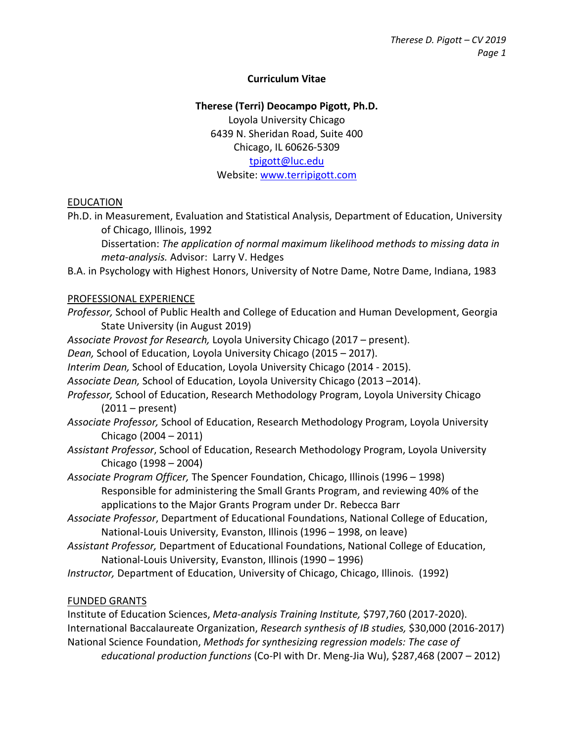## **Curriculum Vitae**

#### **Therese (Terri) Deocampo Pigott, Ph.D.**

Loyola University Chicago 6439 N. Sheridan Road, Suite 400 Chicago, IL 60626-5309 [tpigott@luc.edu](mailto:tpigott@luc.edu) Website[: www.terripigott.com](http://www.terripigott.com/)

#### EDUCATION

Ph.D. in Measurement, Evaluation and Statistical Analysis, Department of Education, University of Chicago, Illinois, 1992

Dissertation: *The application of normal maximum likelihood methods to missing data in meta-analysis.* Advisor: Larry V. Hedges

B.A. in Psychology with Highest Honors, University of Notre Dame, Notre Dame, Indiana, 1983

#### PROFESSIONAL EXPERIENCE

- *Professor,* School of Public Health and College of Education and Human Development, Georgia State University (in August 2019)
- *Associate Provost for Research,* Loyola University Chicago (2017 present).
- *Dean,* School of Education, Loyola University Chicago (2015 2017).

*Interim Dean,* School of Education, Loyola University Chicago (2014 - 2015).

- *Associate Dean,* School of Education, Loyola University Chicago (2013 –2014).
- *Professor,* School of Education, Research Methodology Program, Loyola University Chicago (2011 – present)
- *Associate Professor,* School of Education, Research Methodology Program, Loyola University Chicago (2004 – 2011)
- *Assistant Professor*, School of Education, Research Methodology Program, Loyola University Chicago (1998 – 2004)
- *Associate Program Officer,* The Spencer Foundation, Chicago, Illinois (1996 1998) Responsible for administering the Small Grants Program, and reviewing 40% of the applications to the Major Grants Program under Dr. Rebecca Barr
- *Associate Professor*, Department of Educational Foundations, National College of Education, National-Louis University, Evanston, Illinois (1996 – 1998, on leave)
- *Assistant Professor,* Department of Educational Foundations, National College of Education, National-Louis University, Evanston, Illinois (1990 – 1996)
- *Instructor,* Department of Education, University of Chicago, Chicago, Illinois. (1992)

#### FUNDED GRANTS

Institute of Education Sciences, *Meta-analysis Training Institute,* \$797,760 (2017-2020). International Baccalaureate Organization, *Research synthesis of IB studies,* \$30,000 (2016-2017) National Science Foundation, *Methods for synthesizing regression models: The case of educational production functions* (Co-PI with Dr. Meng-Jia Wu), \$287,468 (2007 – 2012)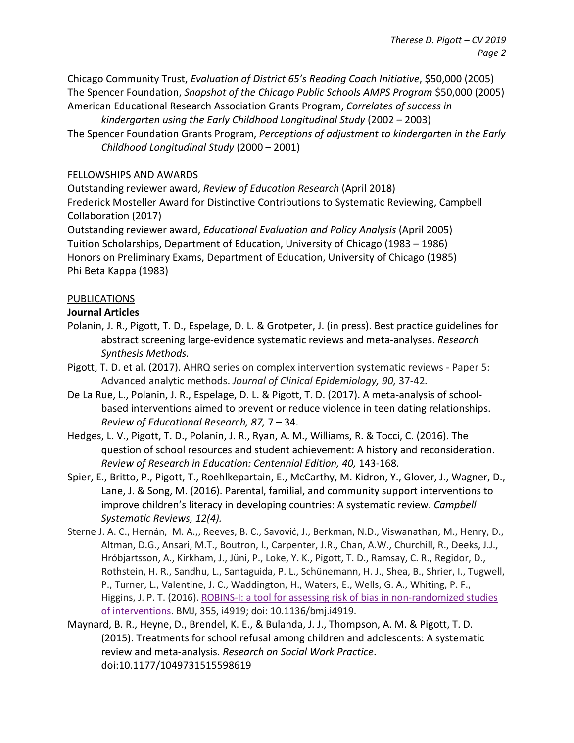Chicago Community Trust, *Evaluation of District 65's Reading Coach Initiative*, \$50,000 (2005) The Spencer Foundation, *Snapshot of the Chicago Public Schools AMPS Program* \$50,000 (2005) American Educational Research Association Grants Program, *Correlates of success in* 

*kindergarten using the Early Childhood Longitudinal Study* (2002 – 2003) The Spencer Foundation Grants Program, *Perceptions of adjustment to kindergarten in the Early Childhood Longitudinal Study* (2000 – 2001)

## FELLOWSHIPS AND AWARDS

Outstanding reviewer award, *Review of Education Research* (April 2018) Frederick Mosteller Award for Distinctive Contributions to Systematic Reviewing, Campbell Collaboration (2017)

Outstanding reviewer award, *Educational Evaluation and Policy Analysis* (April 2005) Tuition Scholarships, Department of Education, University of Chicago (1983 – 1986) Honors on Preliminary Exams, Department of Education, University of Chicago (1985) Phi Beta Kappa (1983)

## PUBLICATIONS

## **Journal Articles**

- Polanin, J. R., Pigott, T. D., Espelage, D. L. & Grotpeter, J. (in press). Best practice guidelines for abstract screening large-evidence systematic reviews and meta-analyses. *Research Synthesis Methods.*
- Pigott, T. D. et al. (2017). AHRQ series on complex intervention systematic reviews Paper 5: Advanced analytic methods. *Journal of Clinical Epidemiology, 90,* 37-42*.*
- De La Rue, L., Polanin, J. R., Espelage, D. L. & Pigott, T. D. (2017). A meta-analysis of schoolbased interventions aimed to prevent or reduce violence in teen dating relationships. *Review of Educational Research, 87,* 7 – 34.
- Hedges, L. V., Pigott, T. D., Polanin, J. R., Ryan, A. M., Williams, R. & Tocci, C. (2016). The question of school resources and student achievement: A history and reconsideration. *Review of Research in Education: Centennial Edition, 40,* 143-168*.*
- Spier, E., Britto, P., Pigott, T., Roehlkepartain, E., McCarthy, M. Kidron, Y., Glover, J., Wagner, D., Lane, J. & Song, M. (2016). Parental, familial, and community support interventions to improve children's literacy in developing countries: A systematic review. *Campbell Systematic Reviews, 12(4).*
- Sterne J. A. C., Hernán, M. A.,, Reeves, B. C., Savović, J., Berkman, N.D., Viswanathan, M., Henry, D., Altman, D.G., Ansari, M.T., Boutron, I., Carpenter, J.R., Chan, A.W., Churchill, R., Deeks, J.J., Hróbjartsson, A., Kirkham, J., Jüni, P., Loke, Y. K., Pigott, T. D., Ramsay, C. R., Regidor, D., Rothstein, H. R., Sandhu, L., Santaguida, P. L., Schünemann, H. J., Shea, B., Shrier, I., Tugwell, P., Turner, L., Valentine, J. C., Waddington, H., Waters, E., Wells, G. A., Whiting, P. F., Higgins, J. P. T. (2016). [ROBINS-I: a tool for assessing risk of bias in non-randomized studies](http://www.google.com/url?q=http%3A%2F%2Fwww.bmj.com%2Fcontent%2F355%2Fbmj.i4919&sa=D&sntz=1&usg=AFQjCNGYIu26tOB6p6IYibG2FTB7cU-gJQ)  [of interventions.](http://www.google.com/url?q=http%3A%2F%2Fwww.bmj.com%2Fcontent%2F355%2Fbmj.i4919&sa=D&sntz=1&usg=AFQjCNGYIu26tOB6p6IYibG2FTB7cU-gJQ) BMJ, 355, i4919; doi: 10.1136/bmj.i4919.
- Maynard, B. R., Heyne, D., Brendel, K. E., & Bulanda, J. J., Thompson, A. M. & Pigott, T. D. (2015). Treatments for school refusal among children and adolescents: A systematic review and meta-analysis. *Research on Social Work Practice*. doi:10.1177/1049731515598619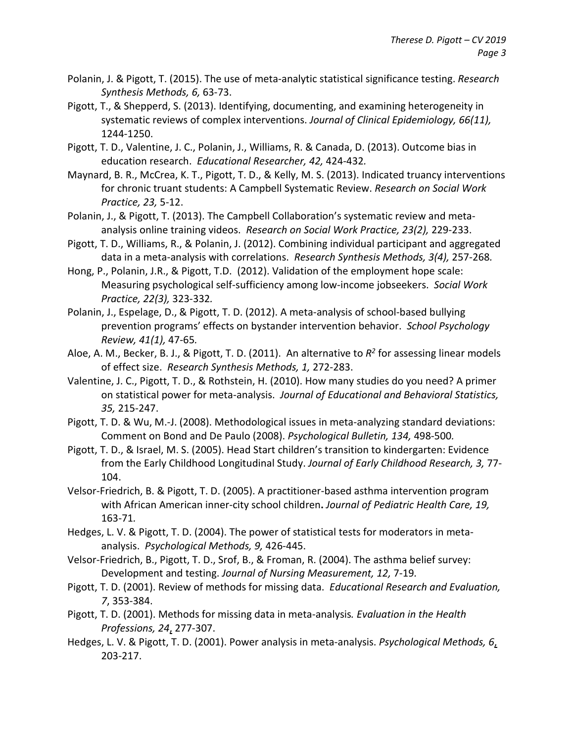- Polanin, J. & Pigott, T. (2015). The use of meta-analytic statistical significance testing. *Research Synthesis Methods, 6,* 63-73.
- Pigott, T., & Shepperd, S. (2013). Identifying, documenting, and examining heterogeneity in systematic reviews of complex interventions. *Journal of Clinical Epidemiology, 66(11),*  1244-1250.
- Pigott, T. D., Valentine, J. C., Polanin, J., Williams, R. & Canada, D. (2013). Outcome bias in education research. *Educational Researcher, 42,* 424-432*.*
- Maynard, B. R., McCrea, K. T., Pigott, T. D., & Kelly, M. S. (2013). Indicated truancy interventions for chronic truant students: A Campbell Systematic Review. *Research on Social Work Practice, 23,* 5-12.
- Polanin, J., & Pigott, T. (2013). The Campbell Collaboration's systematic review and metaanalysis online training videos. *Research on Social Work Practice, 23(2),* 229-233.
- Pigott, T. D., Williams, R., & Polanin, J. (2012). Combining individual participant and aggregated data in a meta-analysis with correlations. *Research Synthesis Methods, 3(4),* 257-268*.*
- Hong, P., Polanin, J.R., & Pigott, T.D. (2012). Validation of the employment hope scale: Measuring psychological self-sufficiency among low-income jobseekers. *Social Work Practice, 22(3),* 323-332*.*
- Polanin, J., Espelage, D., & Pigott, T. D. (2012). A meta-analysis of school-based bullying prevention programs' effects on bystander intervention behavior. *School Psychology Review, 41(1),* 47-65*.*
- Aloe, A. M., Becker, B. J., & Pigott, T. D. (2011). An alternative to *R2* for assessing linear models of effect size. *Research Synthesis Methods, 1,* 272-283.
- Valentine, J. C., Pigott, T. D., & Rothstein, H. (2010). How many studies do you need? A primer on statistical power for meta-analysis. *Journal of Educational and Behavioral Statistics, 35,* 215-247.
- Pigott, T. D. & Wu, M.-J. (2008). Methodological issues in meta-analyzing standard deviations: Comment on Bond and De Paulo (2008). *Psychological Bulletin, 134,* 498-500*.*
- Pigott, T. D., & Israel, M. S. (2005). Head Start children's transition to kindergarten: Evidence from the Early Childhood Longitudinal Study. *Journal of Early Childhood Research, 3,* 77- 104.
- Velsor-Friedrich, B. & Pigott, T. D. (2005). A practitioner-based asthma intervention program with African American inner-city school children**.** *Journal of Pediatric Health Care, 19,*  163-71*.*
- Hedges, L. V. & Pigott, T. D. (2004). The power of statistical tests for moderators in metaanalysis. *Psychological Methods, 9,* 426-445.
- Velsor-Friedrich, B., Pigott, T. D., Srof, B., & Froman, R. (2004). The asthma belief survey: Development and testing. *Journal of Nursing Measurement, 12,* 7-19*.*
- Pigott, T. D. (2001). Review of methods for missing data. *Educational Research and Evaluation, 7*, 353-384.
- Pigott, T. D. (2001). Methods for missing data in meta-analysis*. Evaluation in the Health Professions, 24*, 277-307.
- Hedges, L. V. & Pigott, T. D. (2001). Power analysis in meta-analysis. *Psychological Methods, 6*, 203-217.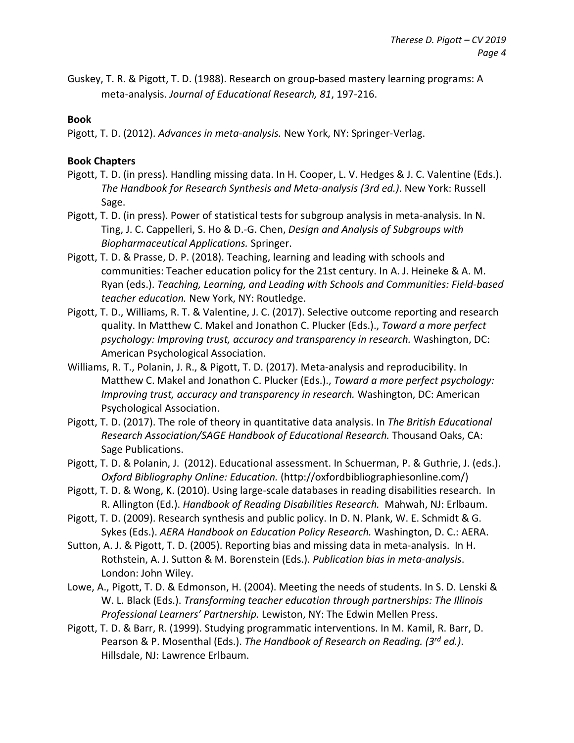Guskey, T. R. & Pigott, T. D. (1988). Research on group-based mastery learning programs: A meta-analysis. *Journal of Educational Research, 81*, 197-216.

## **Book**

Pigott, T. D. (2012). *Advances in meta-analysis.* New York, NY: Springer-Verlag.

# **Book Chapters**

- Pigott, T. D. (in press). Handling missing data. In H. Cooper, L. V. Hedges & J. C. Valentine (Eds.). *The Handbook for Research Synthesis and Meta-analysis (3rd ed.)*. New York: Russell Sage.
- Pigott, T. D. (in press). Power of statistical tests for subgroup analysis in meta-analysis. In N. Ting, J. C. Cappelleri, S. Ho & D.-G. Chen, *Design and Analysis of Subgroups with Biopharmaceutical Applications.* Springer.
- Pigott, T. D. & Prasse, D. P. (2018). Teaching, learning and leading with schools and communities: Teacher education policy for the 21st century. In A. J. Heineke & A. M. Ryan (eds.). *Teaching, Learning, and Leading with Schools and Communities: Field-based teacher education.* New York, NY: Routledge.
- Pigott, T. D., Williams, R. T. & Valentine, J. C. (2017). Selective outcome reporting and research quality. In Matthew C. Makel and Jonathon C. Plucker (Eds.)., *Toward a more perfect psychology: Improving trust, accuracy and transparency in research.* Washington, DC: American Psychological Association.
- Williams, R. T., Polanin, J. R., & Pigott, T. D. (2017). Meta-analysis and reproducibility. In Matthew C. Makel and Jonathon C. Plucker (Eds.)., *Toward a more perfect psychology: Improving trust, accuracy and transparency in research.* Washington, DC: American Psychological Association.
- Pigott, T. D. (2017). The role of theory in quantitative data analysis. In *The British Educational Research Association/SAGE Handbook of Educational Research.* Thousand Oaks, CA: Sage Publications.
- Pigott, T. D. & Polanin, J. (2012). Educational assessment. In Schuerman, P. & Guthrie, J. (eds.). *Oxford Bibliography Online: Education.* (http://oxfordbibliographiesonline.com/)
- Pigott, T. D. & Wong, K. (2010). Using large-scale databases in reading disabilities research. In R. Allington (Ed.). *Handbook of Reading Disabilities Research.* Mahwah, NJ: Erlbaum.
- Pigott, T. D. (2009). Research synthesis and public policy. In D. N. Plank, W. E. Schmidt & G. Sykes (Eds.). *AERA Handbook on Education Policy Research.* Washington, D. C.: AERA.
- Sutton, A. J. & Pigott, T. D. (2005). Reporting bias and missing data in meta-analysis. In H. Rothstein, A. J. Sutton & M. Borenstein (Eds.). *Publication bias in meta-analysis*. London: John Wiley.
- Lowe, A., Pigott, T. D. & Edmonson, H. (2004). Meeting the needs of students. In S. D. Lenski & W. L. Black (Eds.). *Transforming teacher education through partnerships: The Illinois Professional Learners' Partnership.* Lewiston, NY: The Edwin Mellen Press.
- Pigott, T. D. & Barr, R. (1999). Studying programmatic interventions. In M. Kamil, R. Barr, D. Pearson & P. Mosenthal (Eds.). *The Handbook of Research on Reading. (3rd ed.)*. Hillsdale, NJ: Lawrence Erlbaum.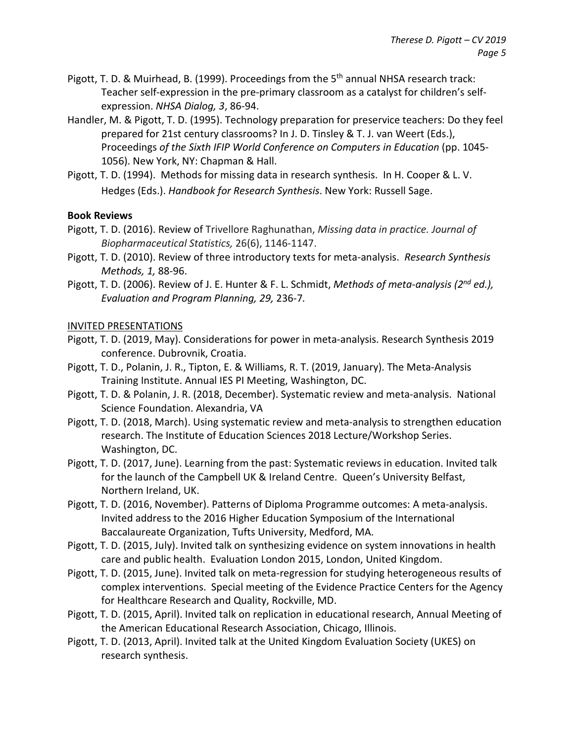- Pigott, T. D. & Muirhead, B. (1999). Proceedings from the 5<sup>th</sup> annual NHSA research track: Teacher self-expression in the pre-primary classroom as a catalyst for children's selfexpression. *NHSA Dialog, 3*, 86-94.
- Handler, M. & Pigott, T. D. (1995). Technology preparation for preservice teachers: Do they feel prepared for 21st century classrooms? In J. D. Tinsley & T. J. van Weert (Eds.), Proceedings *of the Sixth IFIP World Conference on Computers in Education* (pp. 1045- 1056). New York, NY: Chapman & Hall.
- Pigott, T. D. (1994). Methods for missing data in research synthesis. In H. Cooper & L. V. Hedges (Eds.). *Handbook for Research Synthesis*. New York: Russell Sage.

## **Book Reviews**

- Pigott, T. D. (2016). Review of Trivellore Raghunathan, *Missing data in practice. Journal of Biopharmaceutical Statistics,* 26(6), 1146-1147.
- Pigott, T. D. (2010). Review of three introductory texts for meta-analysis. *Research Synthesis Methods, 1,* 88-96.
- Pigott, T. D. (2006). Review of J. E. Hunter & F. L. Schmidt, *Methods of meta-analysis (2nd ed.), Evaluation and Program Planning, 29,* 236-7*.*

## INVITED PRESENTATIONS

- Pigott, T. D. (2019, May). Considerations for power in meta-analysis. Research Synthesis 2019 conference. Dubrovnik, Croatia.
- Pigott, T. D., Polanin, J. R., Tipton, E. & Williams, R. T. (2019, January). The Meta-Analysis Training Institute. Annual IES PI Meeting, Washington, DC.
- Pigott, T. D. & Polanin, J. R. (2018, December). Systematic review and meta-analysis. National Science Foundation. Alexandria, VA
- Pigott, T. D. (2018, March). Using systematic review and meta-analysis to strengthen education research. The Institute of Education Sciences 2018 Lecture/Workshop Series. Washington, DC.
- Pigott, T. D. (2017, June). Learning from the past: Systematic reviews in education. Invited talk for the launch of the Campbell UK & Ireland Centre. Queen's University Belfast, Northern Ireland, UK.
- Pigott, T. D. (2016, November). Patterns of Diploma Programme outcomes: A meta-analysis. Invited address to the 2016 Higher Education Symposium of the International Baccalaureate Organization, Tufts University, Medford, MA.
- Pigott, T. D. (2015, July). Invited talk on synthesizing evidence on system innovations in health care and public health. Evaluation London 2015, London, United Kingdom.
- Pigott, T. D. (2015, June). Invited talk on meta-regression for studying heterogeneous results of complex interventions. Special meeting of the Evidence Practice Centers for the Agency for Healthcare Research and Quality, Rockville, MD.
- Pigott, T. D. (2015, April). Invited talk on replication in educational research, Annual Meeting of the American Educational Research Association, Chicago, Illinois.
- Pigott, T. D. (2013, April). Invited talk at the United Kingdom Evaluation Society (UKES) on research synthesis.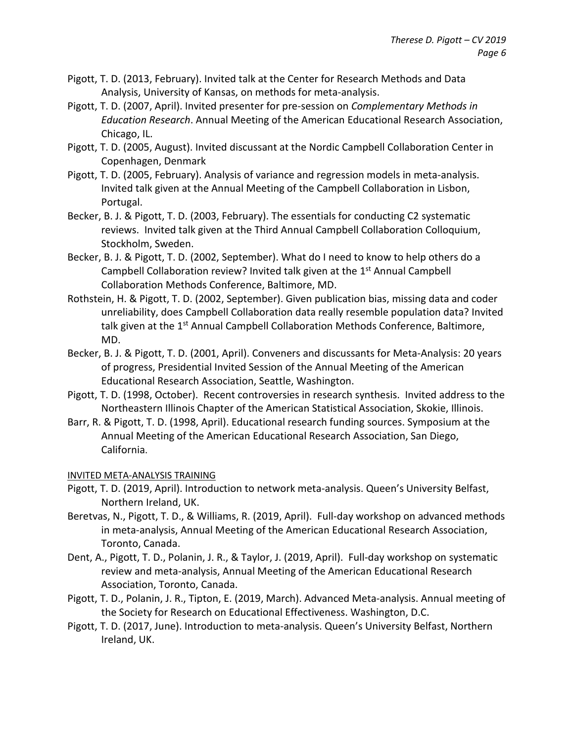- Pigott, T. D. (2013, February). Invited talk at the Center for Research Methods and Data Analysis, University of Kansas, on methods for meta-analysis.
- Pigott, T. D. (2007, April). Invited presenter for pre-session on *Complementary Methods in Education Research*. Annual Meeting of the American Educational Research Association, Chicago, IL.
- Pigott, T. D. (2005, August). Invited discussant at the Nordic Campbell Collaboration Center in Copenhagen, Denmark
- Pigott, T. D. (2005, February). Analysis of variance and regression models in meta-analysis. Invited talk given at the Annual Meeting of the Campbell Collaboration in Lisbon, Portugal.
- Becker, B. J. & Pigott, T. D. (2003, February). The essentials for conducting C2 systematic reviews. Invited talk given at the Third Annual Campbell Collaboration Colloquium, Stockholm, Sweden.
- Becker, B. J. & Pigott, T. D. (2002, September). What do I need to know to help others do a Campbell Collaboration review? Invited talk given at the 1<sup>st</sup> Annual Campbell Collaboration Methods Conference, Baltimore, MD.
- Rothstein, H. & Pigott, T. D. (2002, September). Given publication bias, missing data and coder unreliability, does Campbell Collaboration data really resemble population data? Invited talk given at the 1<sup>st</sup> Annual Campbell Collaboration Methods Conference, Baltimore, MD.
- Becker, B. J. & Pigott, T. D. (2001, April). Conveners and discussants for Meta-Analysis: 20 years of progress, Presidential Invited Session of the Annual Meeting of the American Educational Research Association, Seattle, Washington.
- Pigott, T. D. (1998, October). Recent controversies in research synthesis. Invited address to the Northeastern Illinois Chapter of the American Statistical Association, Skokie, Illinois.
- Barr, R. & Pigott, T. D. (1998, April). Educational research funding sources. Symposium at the Annual Meeting of the American Educational Research Association, San Diego, California.

# INVITED META-ANALYSIS TRAINING

- Pigott, T. D. (2019, April). Introduction to network meta-analysis. Queen's University Belfast, Northern Ireland, UK.
- Beretvas, N., Pigott, T. D., & Williams, R. (2019, April). Full-day workshop on advanced methods in meta-analysis, Annual Meeting of the American Educational Research Association, Toronto, Canada.
- Dent, A., Pigott, T. D., Polanin, J. R., & Taylor, J. (2019, April). Full-day workshop on systematic review and meta-analysis, Annual Meeting of the American Educational Research Association, Toronto, Canada.
- Pigott, T. D., Polanin, J. R., Tipton, E. (2019, March). Advanced Meta-analysis. Annual meeting of the Society for Research on Educational Effectiveness. Washington, D.C.
- Pigott, T. D. (2017, June). Introduction to meta-analysis. Queen's University Belfast, Northern Ireland, UK.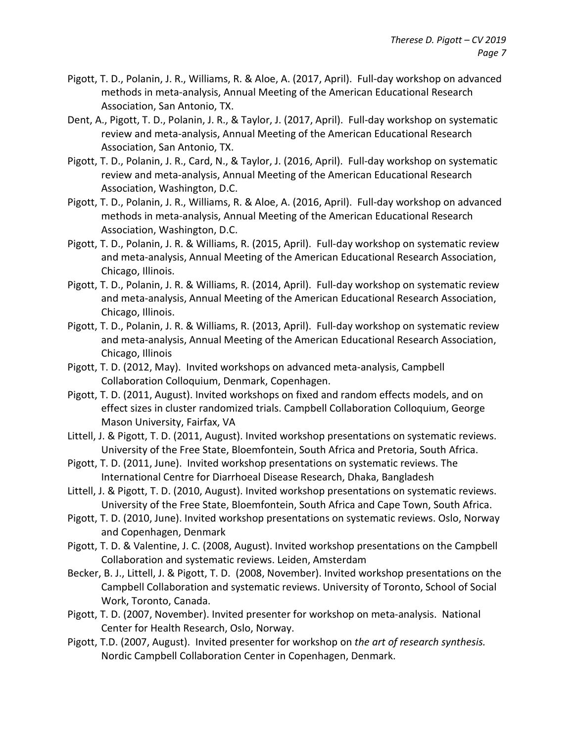- Pigott, T. D., Polanin, J. R., Williams, R. & Aloe, A. (2017, April). Full-day workshop on advanced methods in meta-analysis, Annual Meeting of the American Educational Research Association, San Antonio, TX.
- Dent, A., Pigott, T. D., Polanin, J. R., & Taylor, J. (2017, April). Full-day workshop on systematic review and meta-analysis, Annual Meeting of the American Educational Research Association, San Antonio, TX.
- Pigott, T. D., Polanin, J. R., Card, N., & Taylor, J. (2016, April). Full-day workshop on systematic review and meta-analysis, Annual Meeting of the American Educational Research Association, Washington, D.C.
- Pigott, T. D., Polanin, J. R., Williams, R. & Aloe, A. (2016, April). Full-day workshop on advanced methods in meta-analysis, Annual Meeting of the American Educational Research Association, Washington, D.C.
- Pigott, T. D., Polanin, J. R. & Williams, R. (2015, April). Full-day workshop on systematic review and meta-analysis, Annual Meeting of the American Educational Research Association, Chicago, Illinois.
- Pigott, T. D., Polanin, J. R. & Williams, R. (2014, April). Full-day workshop on systematic review and meta-analysis, Annual Meeting of the American Educational Research Association, Chicago, Illinois.
- Pigott, T. D., Polanin, J. R. & Williams, R. (2013, April). Full-day workshop on systematic review and meta-analysis, Annual Meeting of the American Educational Research Association, Chicago, Illinois
- Pigott, T. D. (2012, May). Invited workshops on advanced meta-analysis, Campbell Collaboration Colloquium, Denmark, Copenhagen.
- Pigott, T. D. (2011, August). Invited workshops on fixed and random effects models, and on effect sizes in cluster randomized trials. Campbell Collaboration Colloquium, George Mason University, Fairfax, VA
- Littell, J. & Pigott, T. D. (2011, August). Invited workshop presentations on systematic reviews. University of the Free State, Bloemfontein, South Africa and Pretoria, South Africa.
- Pigott, T. D. (2011, June). Invited workshop presentations on systematic reviews. The International Centre for Diarrhoeal Disease Research, Dhaka, Bangladesh
- Littell, J. & Pigott, T. D. (2010, August). Invited workshop presentations on systematic reviews. University of the Free State, Bloemfontein, South Africa and Cape Town, South Africa.
- Pigott, T. D. (2010, June). Invited workshop presentations on systematic reviews. Oslo, Norway and Copenhagen, Denmark
- Pigott, T. D. & Valentine, J. C. (2008, August). Invited workshop presentations on the Campbell Collaboration and systematic reviews. Leiden, Amsterdam
- Becker, B. J., Littell, J. & Pigott, T. D. (2008, November). Invited workshop presentations on the Campbell Collaboration and systematic reviews. University of Toronto, School of Social Work, Toronto, Canada.
- Pigott, T. D. (2007, November). Invited presenter for workshop on meta-analysis. National Center for Health Research, Oslo, Norway.
- Pigott, T.D. (2007, August). Invited presenter for workshop on *the art of research synthesis.* Nordic Campbell Collaboration Center in Copenhagen, Denmark.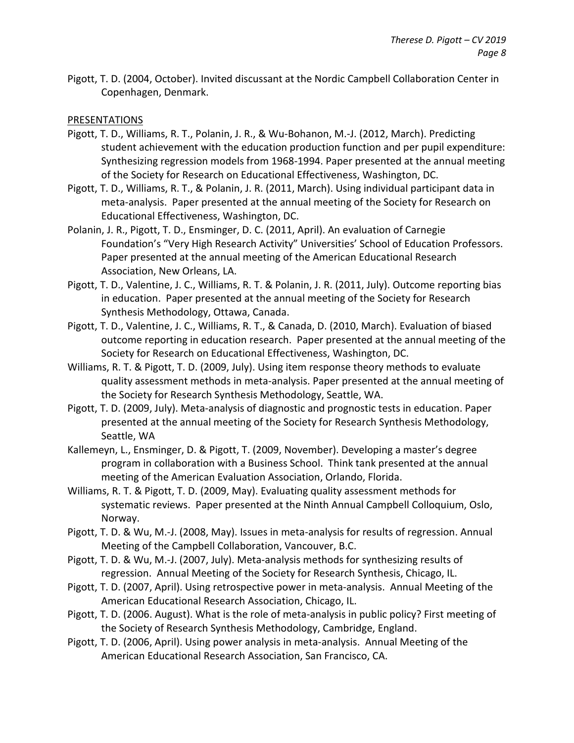Pigott, T. D. (2004, October). Invited discussant at the Nordic Campbell Collaboration Center in Copenhagen, Denmark.

## PRESENTATIONS

- Pigott, T. D., Williams, R. T., Polanin, J. R., & Wu-Bohanon, M.-J. (2012, March). Predicting student achievement with the education production function and per pupil expenditure: Synthesizing regression models from 1968-1994. Paper presented at the annual meeting of the Society for Research on Educational Effectiveness, Washington, DC.
- Pigott, T. D., Williams, R. T., & Polanin, J. R. (2011, March). Using individual participant data in meta-analysis. Paper presented at the annual meeting of the Society for Research on Educational Effectiveness, Washington, DC.
- Polanin, J. R., Pigott, T. D., Ensminger, D. C. (2011, April). An evaluation of Carnegie Foundation's "Very High Research Activity" Universities' School of Education Professors. Paper presented at the annual meeting of the American Educational Research Association, New Orleans, LA.
- Pigott, T. D., Valentine, J. C., Williams, R. T. & Polanin, J. R. (2011, July). Outcome reporting bias in education. Paper presented at the annual meeting of the Society for Research Synthesis Methodology, Ottawa, Canada.
- Pigott, T. D., Valentine, J. C., Williams, R. T., & Canada, D. (2010, March). Evaluation of biased outcome reporting in education research. Paper presented at the annual meeting of the Society for Research on Educational Effectiveness, Washington, DC.
- Williams, R. T. & Pigott, T. D. (2009, July). Using item response theory methods to evaluate quality assessment methods in meta-analysis. Paper presented at the annual meeting of the Society for Research Synthesis Methodology, Seattle, WA.
- Pigott, T. D. (2009, July). Meta-analysis of diagnostic and prognostic tests in education. Paper presented at the annual meeting of the Society for Research Synthesis Methodology, Seattle, WA
- Kallemeyn, L., Ensminger, D. & Pigott, T. (2009, November). Developing a master's degree program in collaboration with a Business School. Think tank presented at the annual meeting of the American Evaluation Association, Orlando, Florida.
- Williams, R. T. & Pigott, T. D. (2009, May). Evaluating quality assessment methods for systematic reviews. Paper presented at the Ninth Annual Campbell Colloquium, Oslo, Norway.
- Pigott, T. D. & Wu, M.-J. (2008, May). Issues in meta-analysis for results of regression. Annual Meeting of the Campbell Collaboration, Vancouver, B.C.
- Pigott, T. D. & Wu, M.-J. (2007, July). Meta-analysis methods for synthesizing results of regression. Annual Meeting of the Society for Research Synthesis, Chicago, IL.
- Pigott, T. D. (2007, April). Using retrospective power in meta-analysis. Annual Meeting of the American Educational Research Association, Chicago, IL.
- Pigott, T. D. (2006. August). What is the role of meta-analysis in public policy? First meeting of the Society of Research Synthesis Methodology, Cambridge, England.
- Pigott, T. D. (2006, April). Using power analysis in meta-analysis. Annual Meeting of the American Educational Research Association, San Francisco, CA.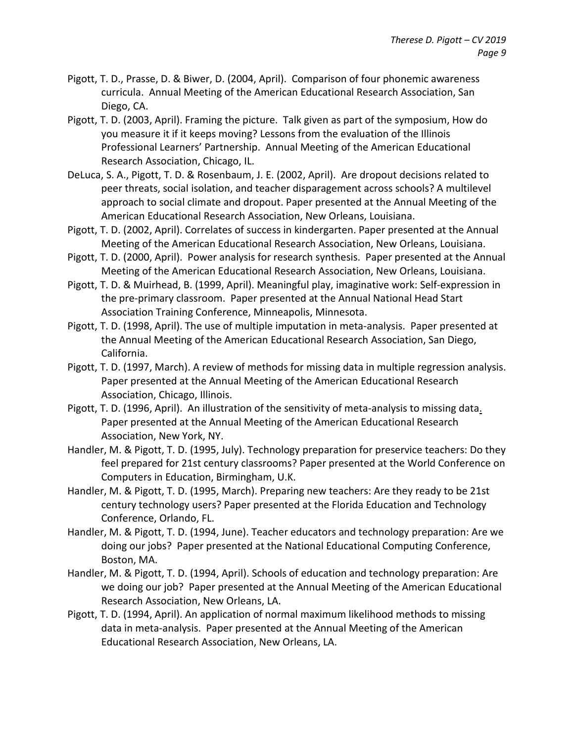- Pigott, T. D., Prasse, D. & Biwer, D. (2004, April). Comparison of four phonemic awareness curricula. Annual Meeting of the American Educational Research Association, San Diego, CA.
- Pigott, T. D. (2003, April). Framing the picture. Talk given as part of the symposium, How do you measure it if it keeps moving? Lessons from the evaluation of the Illinois Professional Learners' Partnership. Annual Meeting of the American Educational Research Association, Chicago, IL.
- DeLuca, S. A., Pigott, T. D. & Rosenbaum, J. E. (2002, April). Are dropout decisions related to peer threats, social isolation, and teacher disparagement across schools? A multilevel approach to social climate and dropout. Paper presented at the Annual Meeting of the American Educational Research Association, New Orleans, Louisiana.
- Pigott, T. D. (2002, April). Correlates of success in kindergarten. Paper presented at the Annual Meeting of the American Educational Research Association, New Orleans, Louisiana.
- Pigott, T. D. (2000, April). Power analysis for research synthesis. Paper presented at the Annual Meeting of the American Educational Research Association, New Orleans, Louisiana.
- Pigott, T. D. & Muirhead, B. (1999, April). Meaningful play, imaginative work: Self-expression in the pre-primary classroom. Paper presented at the Annual National Head Start Association Training Conference, Minneapolis, Minnesota.
- Pigott, T. D. (1998, April). The use of multiple imputation in meta-analysis. Paper presented at the Annual Meeting of the American Educational Research Association, San Diego, California.
- Pigott, T. D. (1997, March). A review of methods for missing data in multiple regression analysis. Paper presented at the Annual Meeting of the American Educational Research Association, Chicago, Illinois.
- Pigott, T. D. (1996, April). An illustration of the sensitivity of meta-analysis to missing data. Paper presented at the Annual Meeting of the American Educational Research Association, New York, NY.
- Handler, M. & Pigott, T. D. (1995, July). Technology preparation for preservice teachers: Do they feel prepared for 21st century classrooms? Paper presented at the World Conference on Computers in Education, Birmingham, U.K.
- Handler, M. & Pigott, T. D. (1995, March). Preparing new teachers: Are they ready to be 21st century technology users? Paper presented at the Florida Education and Technology Conference, Orlando, FL.
- Handler, M. & Pigott, T. D. (1994, June). Teacher educators and technology preparation: Are we doing our jobs? Paper presented at the National Educational Computing Conference, Boston, MA.
- Handler, M. & Pigott, T. D. (1994, April). Schools of education and technology preparation: Are we doing our job? Paper presented at the Annual Meeting of the American Educational Research Association, New Orleans, LA.
- Pigott, T. D. (1994, April). An application of normal maximum likelihood methods to missing data in meta-analysis. Paper presented at the Annual Meeting of the American Educational Research Association, New Orleans, LA.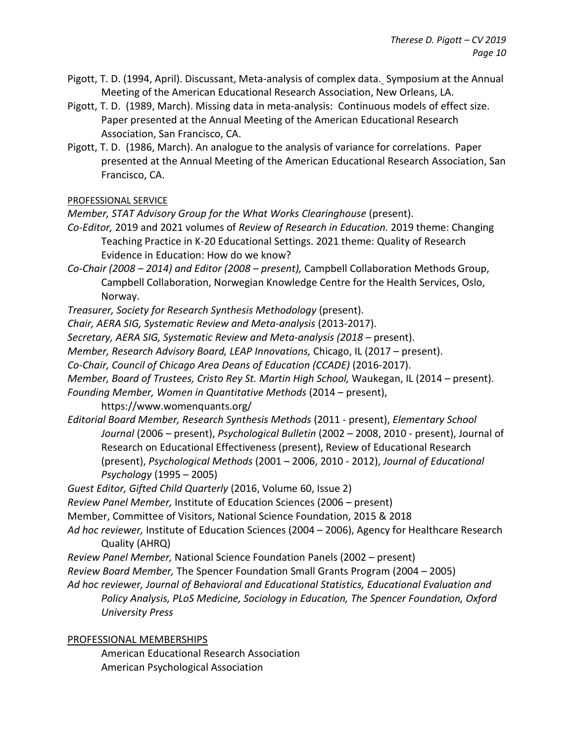- Pigott, T. D. (1994, April). Discussant, Meta-analysis of complex data. Symposium at the Annual Meeting of the American Educational Research Association, New Orleans, LA.
- Pigott, T. D. (1989, March). Missing data in meta-analysis: Continuous models of effect size. Paper presented at the Annual Meeting of the American Educational Research Association, San Francisco, CA.
- Pigott, T. D. (1986, March). An analogue to the analysis of variance for correlations. Paper presented at the Annual Meeting of the American Educational Research Association, San Francisco, CA.

PROFESSIONAL SERVICE

- *Member, STAT Advisory Group for the What Works Clearinghouse (present).*
- *Co-Editor,* 2019 and 2021 volumes of *Review of Research in Education.* 2019 theme: Changing Teaching Practice in K-20 Educational Settings. 2021 theme: Quality of Research Evidence in Education: How do we know?
- *Co-Chair (2008 – 2014) and Editor (2008 – present),* Campbell Collaboration Methods Group, Campbell Collaboration, Norwegian Knowledge Centre for the Health Services, Oslo, Norway.
- *Treasurer, Society for Research Synthesis Methodology* (present).
- *Chair, AERA SIG, Systematic Review and Meta-analysis* (2013-2017).
- *Secretary, AERA SIG, Systematic Review and Meta-analysis (2018 –* present).
- *Member, Research Advisory Board, LEAP Innovations,* Chicago, IL (2017 present).
- *Co-Chair, Council of Chicago Area Deans of Education (CCADE)* (2016-2017).
- *Member, Board of Trustees, Cristo Rey St. Martin High School,* Waukegan, IL (2014 present).
- *Founding Member, Women in Quantitative Methods* (2014 present),
	- https://www.womenquants.org/
- *Editorial Board Member, Research Synthesis Methods* (2011 present), *Elementary School Journal* (2006 – present), *Psychological Bulletin* (2002 – 2008, 2010 - present), Journal of Research on Educational Effectiveness (present), Review of Educational Research (present), *Psychological Methods* (2001 – 2006, 2010 - 2012), *Journal of Educational Psychology* (1995 – 2005)
- *Guest Editor, Gifted Child Quarterly* (2016, Volume 60, Issue 2)
- *Review Panel Member,* Institute of Education Sciences (2006 present)
- Member, Committee of Visitors, National Science Foundation, 2015 & 2018
- *Ad hoc reviewer,* Institute of Education Sciences (2004 2006), Agency for Healthcare Research Quality (AHRQ)
- *Review Panel Member,* National Science Foundation Panels (2002 present)
- *Review Board Member,* The Spencer Foundation Small Grants Program (2004 2005)
- *Ad hoc reviewer, Journal of Behavioral and Educational Statistics, Educational Evaluation and Policy Analysis, PLoS Medicine, Sociology in Education, The Spencer Foundation, Oxford University Press*

# PROFESSIONAL MEMBERSHIPS

American Educational Research Association American Psychological Association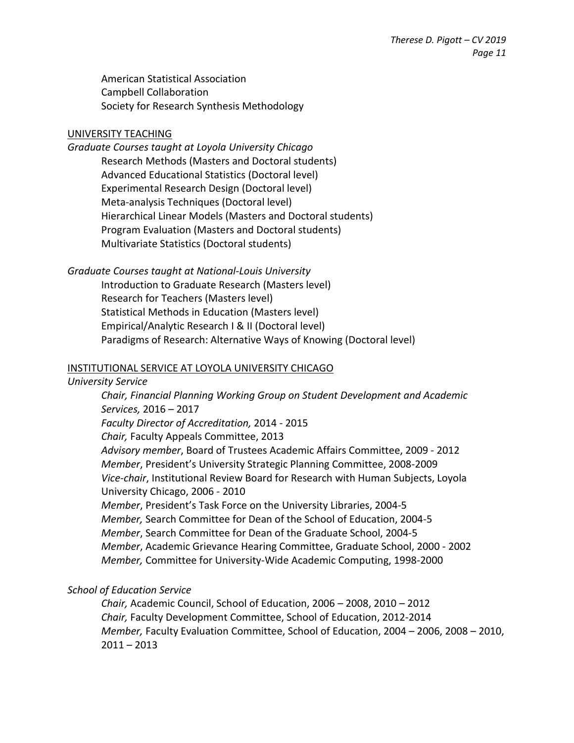American Statistical Association Campbell Collaboration Society for Research Synthesis Methodology

## UNIVERSITY TEACHING

# *Graduate Courses taught at Loyola University Chicago*

Research Methods (Masters and Doctoral students) Advanced Educational Statistics (Doctoral level) Experimental Research Design (Doctoral level) Meta-analysis Techniques (Doctoral level) Hierarchical Linear Models (Masters and Doctoral students) Program Evaluation (Masters and Doctoral students) Multivariate Statistics (Doctoral students)

*Graduate Courses taught at National-Louis University*

Introduction to Graduate Research (Masters level) Research for Teachers (Masters level) Statistical Methods in Education (Masters level) Empirical/Analytic Research I & II (Doctoral level) Paradigms of Research: Alternative Ways of Knowing (Doctoral level)

## INSTITUTIONAL SERVICE AT LOYOLA UNIVERSITY CHICAGO

#### *University Service*

*Chair, Financial Planning Working Group on Student Development and Academic Services,* 2016 – 2017 *Faculty Director of Accreditation,* 2014 - 2015 *Chair,* Faculty Appeals Committee, 2013 *Advisory member*, Board of Trustees Academic Affairs Committee, 2009 - 2012 *Member*, President's University Strategic Planning Committee, 2008-2009 *Vice-chair*, Institutional Review Board for Research with Human Subjects, Loyola University Chicago, 2006 - 2010 *Member*, President's Task Force on the University Libraries, 2004-5 *Member,* Search Committee for Dean of the School of Education, 2004-5 *Member*, Search Committee for Dean of the Graduate School, 2004-5 *Member*, Academic Grievance Hearing Committee, Graduate School, 2000 - 2002 *Member,* Committee for University-Wide Academic Computing, 1998-2000

# *School of Education Service*

*Chair,* Academic Council, School of Education, 2006 – 2008, 2010 – 2012 *Chair,* Faculty Development Committee, School of Education, 2012-2014 *Member,* Faculty Evaluation Committee, School of Education, 2004 – 2006, 2008 – 2010,  $2011 - 2013$